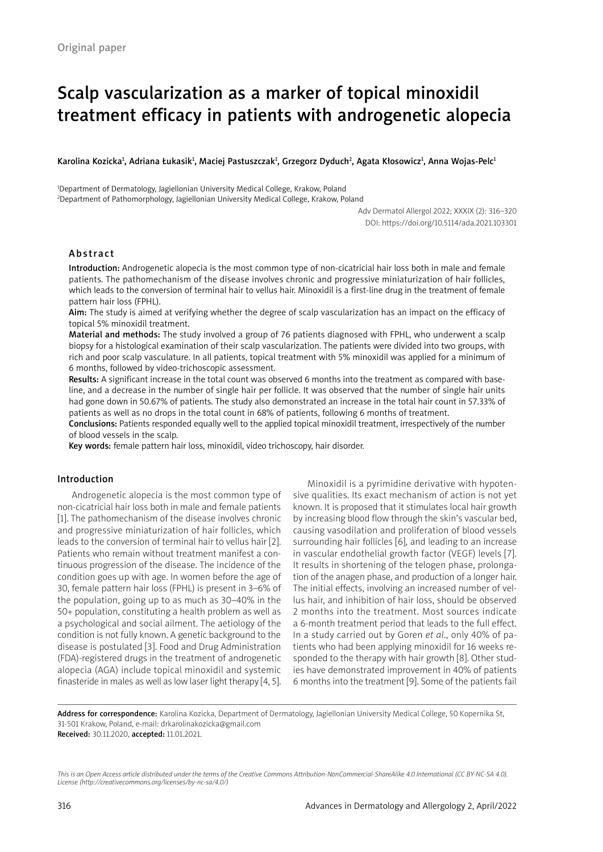# Scalp vascularization as a marker of topical minoxidil treatment efficacy in patients with androgenetic alopecia

Karolina Kozicka<sup>ı</sup>, Adriana Łukasik<sup>ı</sup>, Maciej Pastuszczak<sup>ı</sup>, Grzegorz Dyduch<sup>2</sup>, Agata Kłosowicz<sup>ı</sup>, Anna Wojas-Pelc<sup>ı</sup>

1 Department of Dermatology, Jagiellonian University Medical College, Krakow, Poland 2 Department of Pathomorphology, Jagiellonian University Medical College, Krakow, Poland

> Adv Dermatol Allergol 2022; XXXIX (2): 316–320 DOI: https://doi.org/10.5114/ada.2021.103301

# Abstract

Introduction: Androgenetic alopecia is the most common type of non-cicatricial hair loss both in male and female patients. The pathomechanism of the disease involves chronic and progressive miniaturization of hair follicles, which leads to the conversion of terminal hair to vellus hair. Minoxidil is a first-line drug in the treatment of female pattern hair loss (FPHL).

Aim: The study is aimed at verifying whether the degree of scalp vascularization has an impact on the efficacy of topical 5% minoxidil treatment.

Material and methods: The study involved a group of 76 patients diagnosed with FPHL, who underwent a scalp biopsy for a histological examination of their scalp vascularization. The patients were divided into two groups, with rich and poor scalp vasculature. In all patients, topical treatment with 5% minoxidil was applied for a minimum of 6 months, followed by video-trichoscopic assessment.

Results: A significant increase in the total count was observed 6 months into the treatment as compared with baseline, and a decrease in the number of single hair per follicle. It was observed that the number of single hair units had gone down in 50.67% of patients. The study also demonstrated an increase in the total hair count in 57.33% of patients as well as no drops in the total count in 68% of patients, following 6 months of treatment.

Conclusions: Patients responded equally well to the applied topical minoxidil treatment, irrespectively of the number of blood vessels in the scalp.

Key words: female pattern hair loss, minoxidil, video trichoscopy, hair disorder.

## Introduction

Androgenetic alopecia is the most common type of non-cicatricial hair loss both in male and female patients [1]. The pathomechanism of the disease involves chronic and progressive miniaturization of hair follicles, which leads to the conversion of terminal hair to vellus hair [2]. Patients who remain without treatment manifest a continuous progression of the disease. The incidence of the condition goes up with age. In women before the age of 30, female pattern hair loss (FPHL) is present in 3–6% of the population, going up to as much as 30–40% in the 50+ population, constituting a health problem as well as a psychological and social ailment. The aetiology of the condition is not fully known. A genetic background to the disease is postulated [3]. Food and Drug Administration (FDA)-registered drugs in the treatment of androgenetic alopecia (AGA) include topical minoxidil and systemic finasteride in males as well as low laser light therapy [4, 5].

Minoxidil is a pyrimidine derivative with hypotensive qualities. Its exact mechanism of action is not yet known. It is proposed that it stimulates local hair growth by increasing blood flow through the skin's vascular bed, causing vasodilation and proliferation of blood vessels surrounding hair follicles [6], and leading to an increase in vascular endothelial growth factor (VEGF) levels [7]. It results in shortening of the telogen phase, prolongation of the anagen phase, and production of a longer hair. The initial effects, involving an increased number of vellus hair, and inhibition of hair loss, should be observed 2 months into the treatment. Most sources indicate a 6-month treatment period that leads to the full effect. In a study carried out by Goren *et al*., only 40% of patients who had been applying minoxidil for 16 weeks responded to the therapy with hair growth [8]. Other studies have demonstrated improvement in 40% of patients 6 months into the treatment [9]. Some of the patients fail

Address for correspondence: Karolina Kozicka, Department of Dermatology, Jagiellonian University Medical College, 50 Kopernika St, 31-501 Krakow, Poland, e-mail: drkarolinakozicka@gmail.com Received: 30.11.2020, accepted: 11.01.2021.

*This is an Open Access article distributed under the terms of the Creative Commons Attribution-NonCommercial-ShareAlike 4.0 International (CC BY-NC-SA 4.0). License (http://creativecommons.org/licenses/by-nc-sa/4.0/)*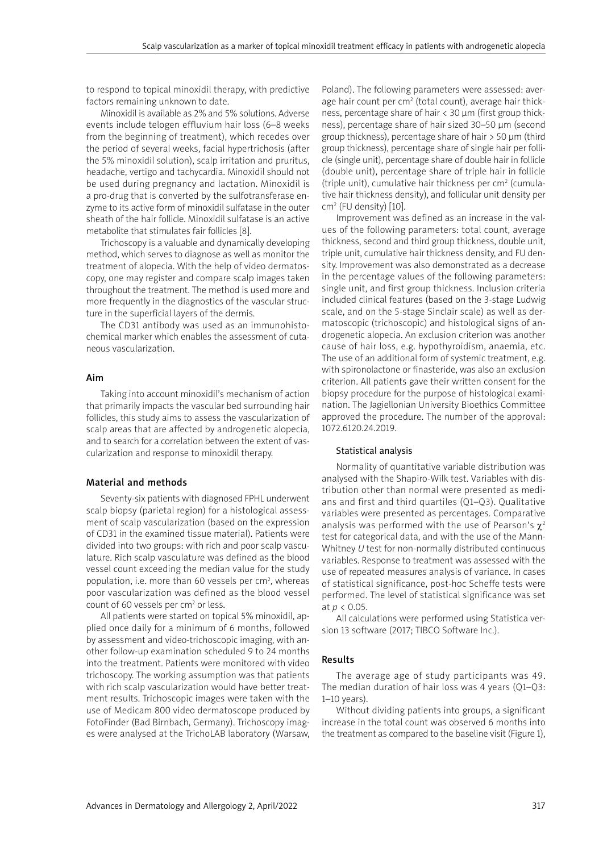to respond to topical minoxidil therapy, with predictive factors remaining unknown to date.

Minoxidil is available as 2% and 5% solutions. Adverse events include telogen effluvium hair loss (6–8 weeks from the beginning of treatment), which recedes over the period of several weeks, facial hypertrichosis (after the 5% minoxidil solution), scalp irritation and pruritus, headache, vertigo and tachycardia. Minoxidil should not be used during pregnancy and lactation. Minoxidil is a pro-drug that is converted by the sulfotransferase enzyme to its active form of minoxidil sulfatase in the outer sheath of the hair follicle. Minoxidil sulfatase is an active metabolite that stimulates fair follicles [8].

Trichoscopy is a valuable and dynamically developing method, which serves to diagnose as well as monitor the treatment of alopecia. With the help of video dermatoscopy, one may register and compare scalp images taken throughout the treatment. The method is used more and more frequently in the diagnostics of the vascular structure in the superficial layers of the dermis.

The CD31 antibody was used as an immunohistochemical marker which enables the assessment of cutaneous vascularization.

#### Aim

Taking into account minoxidil's mechanism of action that primarily impacts the vascular bed surrounding hair follicles, this study aims to assess the vascularization of scalp areas that are affected by androgenetic alopecia, and to search for a correlation between the extent of vascularization and response to minoxidil therapy.

## Material and methods

Seventy-six patients with diagnosed FPHL underwent scalp biopsy (parietal region) for a histological assessment of scalp vascularization (based on the expression of CD31 in the examined tissue material). Patients were divided into two groups: with rich and poor scalp vasculature. Rich scalp vasculature was defined as the blood vessel count exceeding the median value for the study population, i.e. more than 60 vessels per cm<sup>2</sup>, whereas poor vascularization was defined as the blood vessel count of 60 vessels per cm<sup>2</sup> or less.

All patients were started on topical 5% minoxidil, applied once daily for a minimum of 6 months, followed by assessment and video-trichoscopic imaging, with another follow-up examination scheduled 9 to 24 months into the treatment. Patients were monitored with video trichoscopy. The working assumption was that patients with rich scalp vascularization would have better treatment results. Trichoscopic images were taken with the use of Medicam 800 video dermatoscope produced by FotoFinder (Bad Birnbach, Germany). Trichoscopy images were analysed at the TrichoLAB laboratory (Warsaw, Poland). The following parameters were assessed: average hair count per cm<sup>2</sup> (total count), average hair thickness, percentage share of hair < 30 µm (first group thickness), percentage share of hair sized 30–50 µm (second group thickness), percentage share of hair > 50 µm (third group thickness), percentage share of single hair per follicle (single unit), percentage share of double hair in follicle (double unit), percentage share of triple hair in follicle  $(t$ riple unit), cumulative hair thickness per cm<sup>2</sup> (cumulative hair thickness density), and follicular unit density per cm2 (FU density) [10].

Improvement was defined as an increase in the values of the following parameters: total count, average thickness, second and third group thickness, double unit, triple unit, cumulative hair thickness density, and FU density. Improvement was also demonstrated as a decrease in the percentage values of the following parameters: single unit, and first group thickness. Inclusion criteria included clinical features (based on the 3-stage Ludwig scale, and on the 5-stage Sinclair scale) as well as dermatoscopic (trichoscopic) and histological signs of androgenetic alopecia. An exclusion criterion was another cause of hair loss, e.g. hypothyroidism, anaemia, etc. The use of an additional form of systemic treatment, e.g. with spironolactone or finasteride, was also an exclusion criterion. All patients gave their written consent for the biopsy procedure for the purpose of histological examination. The Jagiellonian University Bioethics Committee approved the procedure. The number of the approval: 1072.6120.24.2019.

#### Statistical analysis

Normality of quantitative variable distribution was analysed with the Shapiro-Wilk test. Variables with distribution other than normal were presented as medians and first and third quartiles (Q1–Q3). Qualitative variables were presented as percentages. Comparative analysis was performed with the use of Pearson's  $\chi^2$ test for categorical data, and with the use of the Mann-Whitney *U* test for non-normally distributed continuous variables. Response to treatment was assessed with the use of repeated measures analysis of variance. In cases of statistical significance, post-hoc Scheffe tests were performed. The level of statistical significance was set at *p* < 0.05.

All calculations were performed using Statistica version 13 software (2017; TIBCO Software Inc.).

#### Results

The average age of study participants was 49. The median duration of hair loss was 4 years (Q1–Q3: 1–10 years).

Without dividing patients into groups, a significant increase in the total count was observed 6 months into the treatment as compared to the baseline visit (Figure 1),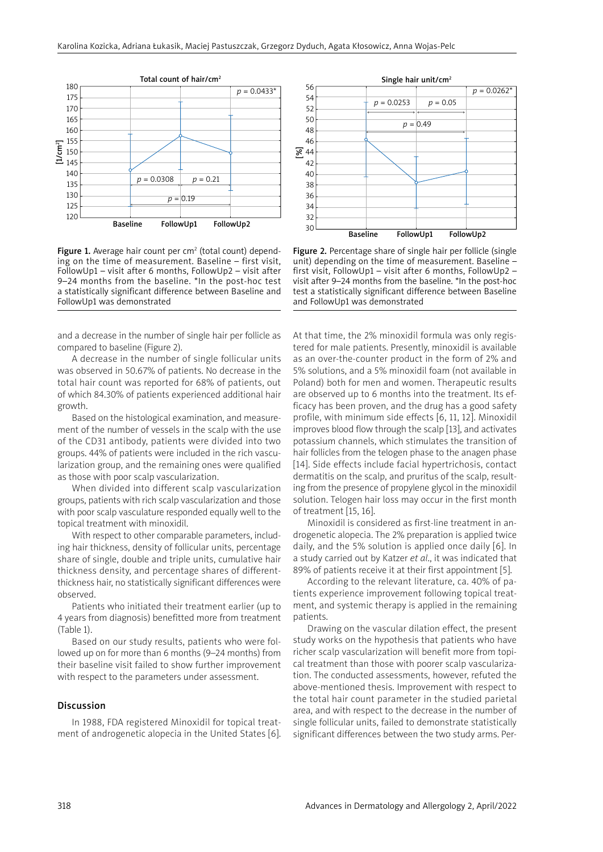

Figure 1. Average hair count per cm<sup>2</sup> (total count) depending on the time of measurement. Baseline – first visit, FollowUp1 – visit after 6 months, FollowUp2 – visit after 9–24 months from the baseline. \*In the post-hoc test a statistically significant difference between Baseline and FollowUp1 was demonstrated

and a decrease in the number of single hair per follicle as compared to baseline (Figure 2).

A decrease in the number of single follicular units was observed in 50.67% of patients. No decrease in the total hair count was reported for 68% of patients, out of which 84.30% of patients experienced additional hair growth.

Based on the histological examination, and measurement of the number of vessels in the scalp with the use of the CD31 antibody, patients were divided into two groups. 44% of patients were included in the rich vascularization group, and the remaining ones were qualified as those with poor scalp vascularization.

When divided into different scalp vascularization groups, patients with rich scalp vascularization and those with poor scalp vasculature responded equally well to the topical treatment with minoxidil.

With respect to other comparable parameters, including hair thickness, density of follicular units, percentage share of single, double and triple units, cumulative hair thickness density, and percentage shares of differentthickness hair, no statistically significant differences were observed.

Patients who initiated their treatment earlier (up to 4 years from diagnosis) benefitted more from treatment (Table 1).

Based on our study results, patients who were followed up on for more than 6 months (9–24 months) from their baseline visit failed to show further improvement with respect to the parameters under assessment.

## Discussion

In 1988, FDA registered Minoxidil for topical treatment of androgenetic alopecia in the United States [6].



Figure 2. Percentage share of single hair per follicle (single unit) depending on the time of measurement. Baseline – first visit, FollowUp1 – visit after 6 months, FollowUp2 – visit after 9–24 months from the baseline. \*In the post-hoc test a statistically significant difference between Baseline and FollowUp1 was demonstrated

At that time, the 2% minoxidil formula was only registered for male patients. Presently, minoxidil is available as an over-the-counter product in the form of 2% and 5% solutions, and a 5% minoxidil foam (not available in Poland) both for men and women. Therapeutic results are observed up to 6 months into the treatment. Its efficacy has been proven, and the drug has a good safety profile, with minimum side effects [6, 11, 12]. Minoxidil improves blood flow through the scalp [13], and activates potassium channels, which stimulates the transition of hair follicles from the telogen phase to the anagen phase [14]. Side effects include facial hypertrichosis, contact dermatitis on the scalp, and pruritus of the scalp, resulting from the presence of propylene glycol in the minoxidil solution. Telogen hair loss may occur in the first month of treatment [15, 16].

Minoxidil is considered as first-line treatment in androgenetic alopecia. The 2% preparation is applied twice daily, and the 5% solution is applied once daily [6]. In a study carried out by Katzer *et al*., it was indicated that 89% of patients receive it at their first appointment [5].

According to the relevant literature, ca. 40% of patients experience improvement following topical treatment, and systemic therapy is applied in the remaining patients.

Drawing on the vascular dilation effect, the present study works on the hypothesis that patients who have richer scalp vascularization will benefit more from topical treatment than those with poorer scalp vascularization. The conducted assessments, however, refuted the above-mentioned thesis. Improvement with respect to the total hair count parameter in the studied parietal area, and with respect to the decrease in the number of single follicular units, failed to demonstrate statistically significant differences between the two study arms. Per-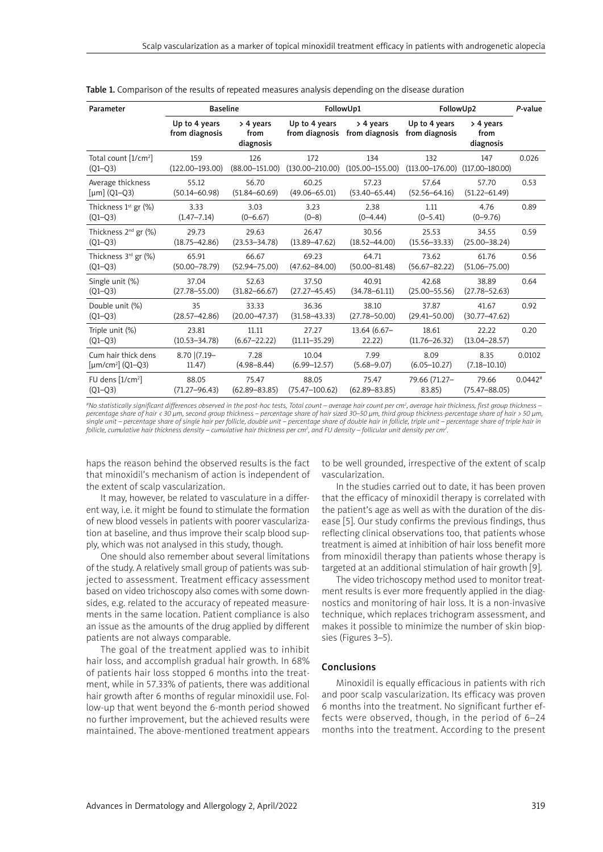| Parameter                           | <b>Baseline</b>                 |                                  | FollowUp1                       |                             | FollowUp2                       |                                  | P-value   |
|-------------------------------------|---------------------------------|----------------------------------|---------------------------------|-----------------------------|---------------------------------|----------------------------------|-----------|
|                                     | Up to 4 years<br>from diagnosis | $>$ 4 years<br>from<br>diagnosis | Up to 4 years<br>from diagnosis | > 4 years<br>from diagnosis | Up to 4 years<br>from diagnosis | $>$ 4 years<br>from<br>diagnosis |           |
| Total count [1/cm <sup>2</sup> ]    | 159                             | 126                              | 172                             | 134                         | 132                             | 147                              | 0.026     |
| $(Q1 - Q3)$                         | $(122.00 - 193.00)$             | $(88.00 - 151.00)$               | $(130.00 - 210.00)$             | $(105.00 - 155.00)$         | $(113.00 - 176.00)$             | $(117.00 - 180.00)$              |           |
| Average thickness                   | 55.12                           | 56.70                            | 60.25                           | 57.23                       | 57.64                           | 57.70                            | 0.53      |
| [ $\mu$ m] (Q1–Q3)                  | $(50.14 - 60.98)$               | $(51.84 - 60.69)$                | $(49.06 - 65.01)$               | $(53.40 - 65.44)$           | $(52.56 - 64.16)$               | $(51.22 - 61.49)$                |           |
| Thickness $1^{st}$ gr $(\%)$        | 3.33                            | 3.03                             | 3.23                            | 2.38                        | 1.11                            | 4.76                             | 0.89      |
| $(Q1 - Q3)$                         | $(1.47 - 7.14)$                 | $(0 - 6.67)$                     | $(0-8)$                         | $(0 - 4.44)$                | $(0 - 5.41)$                    | $(0 - 9.76)$                     |           |
| Thickness 2 <sup>nd</sup> gr (%)    | 29.73                           | 29.63                            | 26.47                           | 30.56                       | 25.53                           | 34.55                            | 0.59      |
| $(Q1 - Q3)$                         | $(18.75 - 42.86)$               | $(23.53 - 34.78)$                | $(13.89 - 47.62)$               | $(18.52 - 44.00)$           | $(15.56 - 33.33)$               | $(25.00 - 38.24)$                |           |
| Thickness 3rd gr (%)                | 65.91                           | 66.67                            | 69.23                           | 64.71                       | 73.62                           | 61.76                            | 0.56      |
| $(O1 - O3)$                         | $(50.00 - 78.79)$               | $(52.94 - 75.00)$                | $(47.62 - 84.00)$               | $(50.00 - 81.48)$           | $(56.67 - 82.22)$               | $(51.06 - 75.00)$                |           |
| Single unit (%)                     | 37.04                           | 52.63                            | 37.50                           | 40.91                       | 42.68                           | 38.89                            | 0.64      |
| $(O1 - O3)$                         | $(27.78 - 55.00)$               | $(31.82 - 66.67)$                | $(27.27 - 45.45)$               | $(34.78 - 61.11)$           | $(25.00 - 55.56)$               | $(27.78 - 52.63)$                |           |
| Double unit (%)                     | 35                              | 33.33                            | 36.36                           | 38.10                       | 37.87                           | 41.67                            | 0.92      |
| $(O1 - O3)$                         | $(28.57 - 42.86)$               | $(20.00 - 47.37)$                | $(31.58 - 43.33)$               | $(27.78 - 50.00)$           | $(29.41 - 50.00)$               | $(30.77 - 47.62)$                |           |
| Triple unit (%)                     | 23.81                           | 11.11                            | 27.27                           | $13.64(6.67-$               | 18.61                           | 22.22                            | 0.20      |
| $(O1 - O3)$                         | $(10.53 - 34.78)$               | $(6.67 - 22.22)$                 | $(11.11 - 35.29)$               | 22.22)                      | $(11.76 - 26.32)$               | $(13.04 - 28.57)$                |           |
| Cum hair thick dens                 | 8.70 (7.19-                     | 7.28                             | 10.04                           | 7.99                        | 8.09                            | 8.35                             | 0.0102    |
| [ $\mu$ m/cm <sup>2</sup> ] (Q1–Q3) | 11.47)                          | $(4.98 - 8.44)$                  | $(6.99 - 12.57)$                | $(5.68 - 9.07)$             | $(6.05 - 10.27)$                | $(7.18 - 10.10)$                 |           |
| FU dens $[1/cm^2]$                  | 88.05                           | 75.47                            | 88.05                           | 75.47                       | 79.66 (71.27-                   | 79.66                            | $0.0442*$ |
| $(Q1 - Q3)$                         | $(71.27 - 96.43)$               | $(62.89 - 83.85)$                | $(75.47 - 100.62)$              | $(62.89 - 83.85)$           | 83.85)                          | $(75.47 - 88.05)$                |           |

Table 1. Comparison of the results of repeated measures analysis depending on the disease duration

*#No statistically significant differences observed in the post-hoc tests, Total count – average hair count per cm<sup>2</sup> , average hair thickness, first group thickness – percentage share of hair < 30 µm, second group thickness – percentage share of hair sized 30–50 µm, third group thickness-percentage share of hair > 50 µm, single unit – percentage share of single hair per follicle, double unit – percentage share of double hair in follicle, triple unit – percentage share of triple hair in follicle, cumulative hair thickness density – cumulative hair thickness per cm<sup>2</sup> , and FU density – follicular unit density per cm<sup>2</sup> .* 

haps the reason behind the observed results is the fact that minoxidil's mechanism of action is independent of the extent of scalp vascularization.

It may, however, be related to vasculature in a different way, i.e. it might be found to stimulate the formation of new blood vessels in patients with poorer vascularization at baseline, and thus improve their scalp blood supply, which was not analysed in this study, though.

One should also remember about several limitations of the study. A relatively small group of patients was subjected to assessment. Treatment efficacy assessment based on video trichoscopy also comes with some downsides, e.g. related to the accuracy of repeated measurements in the same location. Patient compliance is also an issue as the amounts of the drug applied by different patients are not always comparable.

The goal of the treatment applied was to inhibit hair loss, and accomplish gradual hair growth. In 68% of patients hair loss stopped 6 months into the treatment, while in 57.33% of patients, there was additional hair growth after 6 months of regular minoxidil use. Follow-up that went beyond the 6-month period showed no further improvement, but the achieved results were maintained. The above-mentioned treatment appears to be well grounded, irrespective of the extent of scalp vascularization.

In the studies carried out to date, it has been proven that the efficacy of minoxidil therapy is correlated with the patient's age as well as with the duration of the disease [5]. Our study confirms the previous findings, thus reflecting clinical observations too, that patients whose treatment is aimed at inhibition of hair loss benefit more from minoxidil therapy than patients whose therapy is targeted at an additional stimulation of hair growth [9].

The video trichoscopy method used to monitor treatment results is ever more frequently applied in the diagnostics and monitoring of hair loss. It is a non-invasive technique, which replaces trichogram assessment, and makes it possible to minimize the number of skin biopsies (Figures 3–5).

#### Conclusions

Minoxidil is equally efficacious in patients with rich and poor scalp vascularization. Its efficacy was proven 6 months into the treatment. No significant further effects were observed, though, in the period of 6–24 months into the treatment. According to the present